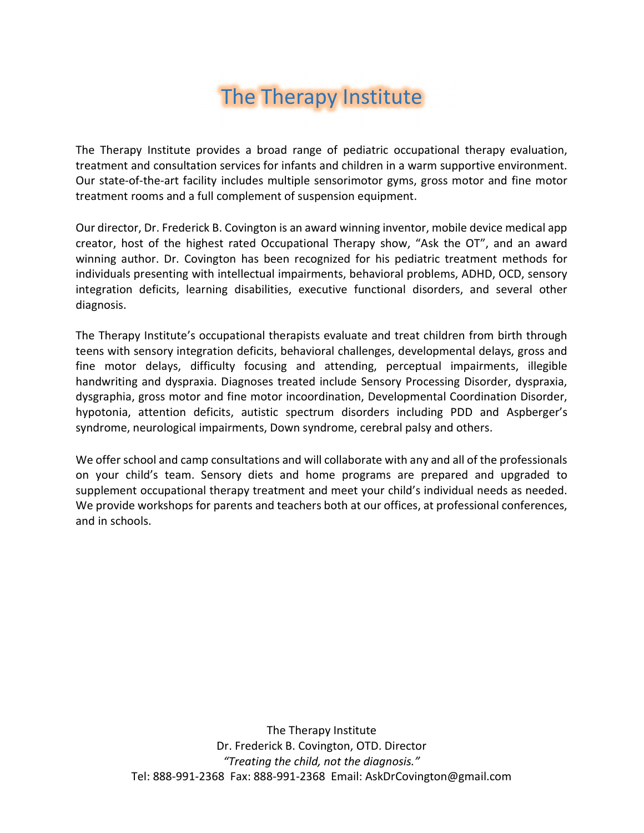# The Therapy Institute

The Therapy Institute provides a broad range of pediatric occupational therapy evaluation, treatment and consultation services for infants and children in a warm supportive environment. Our state-of-the-art facility includes multiple sensorimotor gyms, gross motor and fine motor treatment rooms and a full complement of suspension equipment.

Our director, Dr. Frederick B. Covington is an award winning inventor, mobile device medical app creator, host of the highest rated Occupational Therapy show, "Ask the OT", and an award winning author. Dr. Covington has been recognized for his pediatric treatment methods for individuals presenting with intellectual impairments, behavioral problems, ADHD, OCD, sensory integration deficits, learning disabilities, executive functional disorders, and several other diagnosis.

The Therapy Institute's occupational therapists evaluate and treat children from birth through teens with sensory integration deficits, behavioral challenges, developmental delays, gross and fine motor delays, difficulty focusing and attending, perceptual impairments, illegible handwriting and dyspraxia. Diagnoses treated include Sensory Processing Disorder, dyspraxia, dysgraphia, gross motor and fine motor incoordination, Developmental Coordination Disorder, hypotonia, attention deficits, autistic spectrum disorders including PDD and Aspberger's syndrome, neurological impairments, Down syndrome, cerebral palsy and others.

We offer school and camp consultations and will collaborate with any and all of the professionals on your child's team. Sensory diets and home programs are prepared and upgraded to supplement occupational therapy treatment and meet your child's individual needs as needed. We provide workshops for parents and teachers both at our offices, at professional conferences, and in schools.

> The Therapy Institute Dr. Frederick B. Covington, OTD. Director "Treating the child, not the diagnosis." Tel: 888-991-2368 Fax: 888-991-2368 Email: AskDrCovington@gmail.com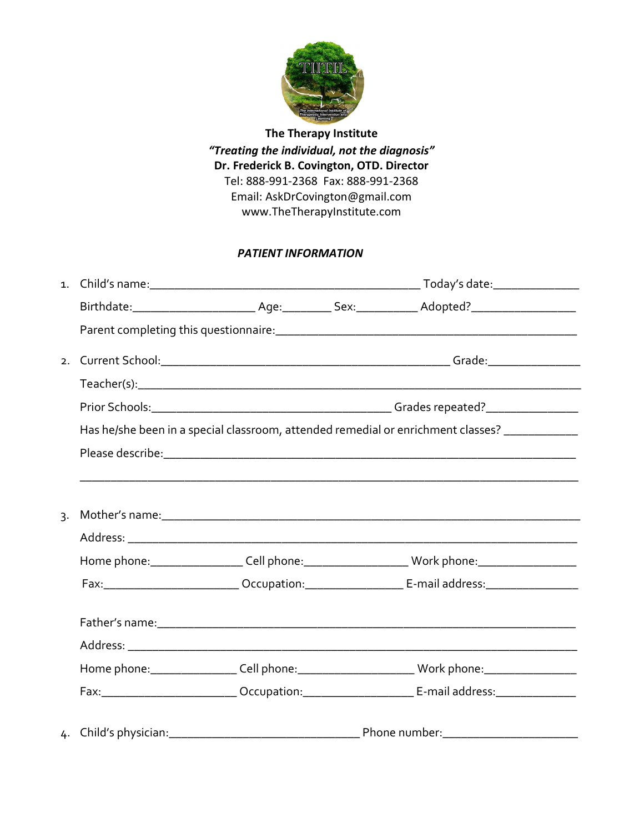

The Therapy Institute "Treating the individual, not the diagnosis" Dr. Frederick B. Covington, OTD. Director Tel: 888-991-2368 Fax: 888-991-2368 Email: AskDrCovington@gmail.com www.TheTherapyInstitute.com

#### PATIENT INFORMATION

|  | Has he/she been in a special classroom, attended remedial or enrichment classes? ____________                  |
|--|----------------------------------------------------------------------------------------------------------------|
|  | Please describe: 1990 and 2000 and 2000 and 2000 and 2000 and 2000 and 2000 and 2000 and 2000 and 2000 and 200 |
|  |                                                                                                                |
|  |                                                                                                                |
|  |                                                                                                                |
|  |                                                                                                                |
|  | Home phone:_____________________Cell phone:_________________________Work phone:_____________________           |
|  |                                                                                                                |
|  |                                                                                                                |
|  |                                                                                                                |
|  | Home phone:____________________Cell phone:_____________________________Work phone:__________________           |
|  | Fax:____________________________Occupation:____________________________E-mail address:___________________      |
|  |                                                                                                                |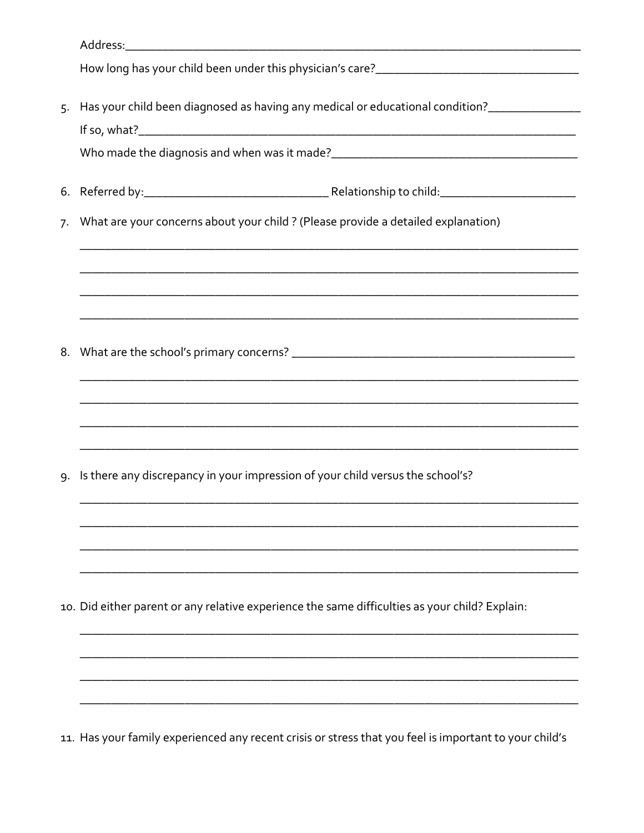| 5. |                                                                                                        |
|----|--------------------------------------------------------------------------------------------------------|
|    |                                                                                                        |
|    |                                                                                                        |
| 7. | What are your concerns about your child ? (Please provide a detailed explanation)                      |
|    |                                                                                                        |
|    |                                                                                                        |
|    |                                                                                                        |
|    |                                                                                                        |
|    |                                                                                                        |
|    |                                                                                                        |
|    |                                                                                                        |
| 9. | Is there any discrepancy in your impression of your child versus the school's?                         |
|    |                                                                                                        |
|    |                                                                                                        |
|    |                                                                                                        |
|    | 10. Did either parent or any relative experience the same difficulties as your child? Explain:         |
|    |                                                                                                        |
|    |                                                                                                        |
|    |                                                                                                        |
|    | 11. Has your family experienced any recent crisis or stress that you feel is important to your child's |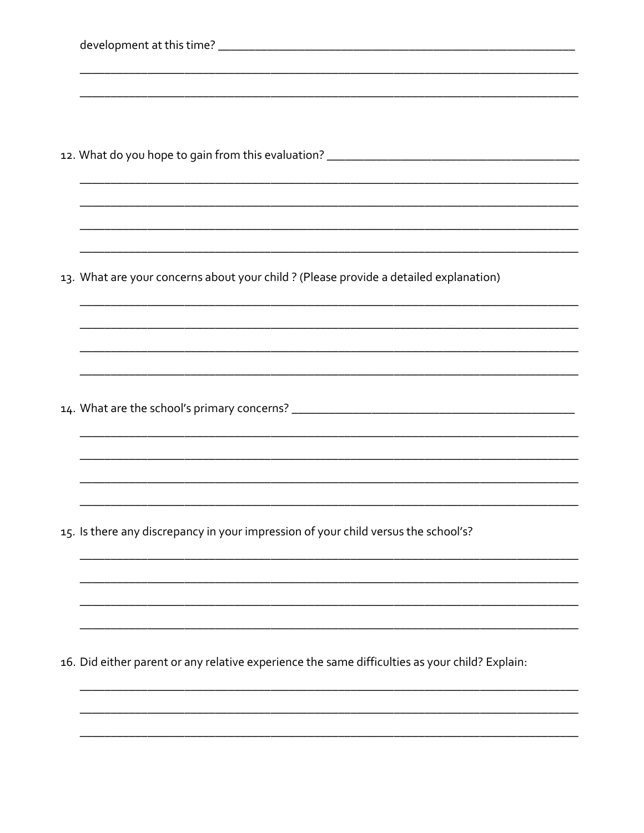| 13. What are your concerns about your child ? (Please provide a detailed explanation)          |
|------------------------------------------------------------------------------------------------|
|                                                                                                |
|                                                                                                |
|                                                                                                |
|                                                                                                |
|                                                                                                |
|                                                                                                |
|                                                                                                |
|                                                                                                |
| 15. Is there any discrepancy in your impression of your child versus the school's?             |
|                                                                                                |
|                                                                                                |
|                                                                                                |
| 16. Did either parent or any relative experience the same difficulties as your child? Explain: |
|                                                                                                |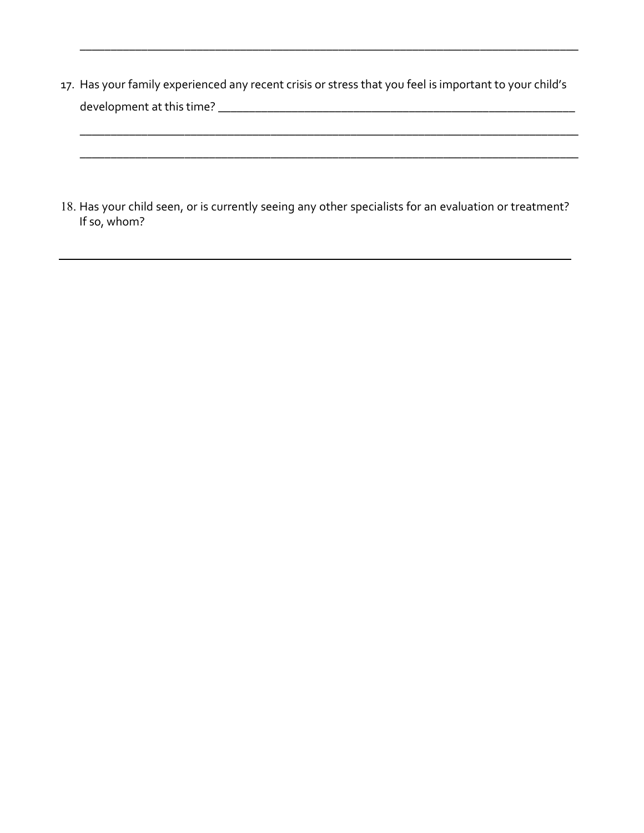17. Has your family experienced any recent crisis or stress that you feel is important to your child's development at this time? \_\_\_\_\_\_\_\_\_\_\_\_\_\_\_\_\_\_\_\_\_\_\_\_\_\_\_\_\_\_\_\_\_\_\_\_\_\_\_\_\_\_\_\_\_\_\_\_\_\_\_\_\_\_\_\_\_\_

\_\_\_\_\_\_\_\_\_\_\_\_\_\_\_\_\_\_\_\_\_\_\_\_\_\_\_\_\_\_\_\_\_\_\_\_\_\_\_\_\_\_\_\_\_\_\_\_\_\_\_\_\_\_\_\_\_\_\_\_\_\_\_\_\_\_\_\_\_\_\_\_\_\_\_\_\_\_\_\_\_

\_\_\_\_\_\_\_\_\_\_\_\_\_\_\_\_\_\_\_\_\_\_\_\_\_\_\_\_\_\_\_\_\_\_\_\_\_\_\_\_\_\_\_\_\_\_\_\_\_\_\_\_\_\_\_\_\_\_\_\_\_\_\_\_\_\_\_\_\_\_\_\_\_\_\_\_\_\_\_\_\_

\_\_\_\_\_\_\_\_\_\_\_\_\_\_\_\_\_\_\_\_\_\_\_\_\_\_\_\_\_\_\_\_\_\_\_\_\_\_\_\_\_\_\_\_\_\_\_\_\_\_\_\_\_\_\_\_\_\_\_\_\_\_\_\_\_\_\_\_\_\_\_\_\_\_\_\_\_\_\_\_\_

18. Has your child seen, or is currently seeing any other specialists for an evaluation or treatment? If so, whom?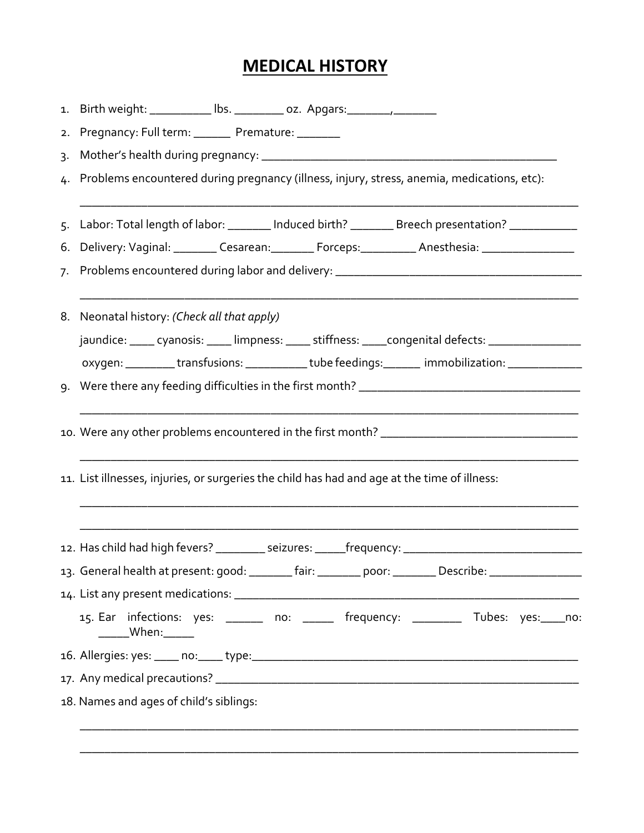# MEDICAL HISTORY

|                  | 1. Birth weight: ___________ lbs. _________ oz. Apgars: ________________________                           |  |  |  |  |  |  |  |
|------------------|------------------------------------------------------------------------------------------------------------|--|--|--|--|--|--|--|
| 2.               | Pregnancy: Full term: _______ Premature: _______                                                           |  |  |  |  |  |  |  |
| $\overline{3}$ . |                                                                                                            |  |  |  |  |  |  |  |
|                  | 4. Problems encountered during pregnancy (illness, injury, stress, anemia, medications, etc):              |  |  |  |  |  |  |  |
|                  | 5. Labor: Total length of labor: _______ Induced birth? _______ Breech presentation? ____________          |  |  |  |  |  |  |  |
|                  | 6. Delivery: Vaginal: _________ Cesarean: _________ Forceps: __________ Anesthesia: _______________        |  |  |  |  |  |  |  |
|                  |                                                                                                            |  |  |  |  |  |  |  |
|                  | 8. Neonatal history: (Check all that apply)                                                                |  |  |  |  |  |  |  |
|                  | jaundice: _____ cyanosis: _____ limpness: _____ stiffness: _____ congenital defects: _______________       |  |  |  |  |  |  |  |
|                  | oxygen: _________transfusions: __________tube feedings: ______ immobilization: ______________              |  |  |  |  |  |  |  |
|                  |                                                                                                            |  |  |  |  |  |  |  |
|                  |                                                                                                            |  |  |  |  |  |  |  |
|                  | 11. List illnesses, injuries, or surgeries the child has had and age at the time of illness:               |  |  |  |  |  |  |  |
|                  | 12. Has child had high fevers? __________ seizures: ______frequency: _______________________________       |  |  |  |  |  |  |  |
|                  | 13. General health at present: good: ________ fair: ________ poor: ________ Describe: ____________________ |  |  |  |  |  |  |  |
|                  |                                                                                                            |  |  |  |  |  |  |  |
|                  | 15. Ear infections: yes: ______ no: _____ frequency: ________ Tubes: yes: ____no:<br>______When:______     |  |  |  |  |  |  |  |
|                  |                                                                                                            |  |  |  |  |  |  |  |
|                  |                                                                                                            |  |  |  |  |  |  |  |
|                  | 18. Names and ages of child's siblings:                                                                    |  |  |  |  |  |  |  |
|                  |                                                                                                            |  |  |  |  |  |  |  |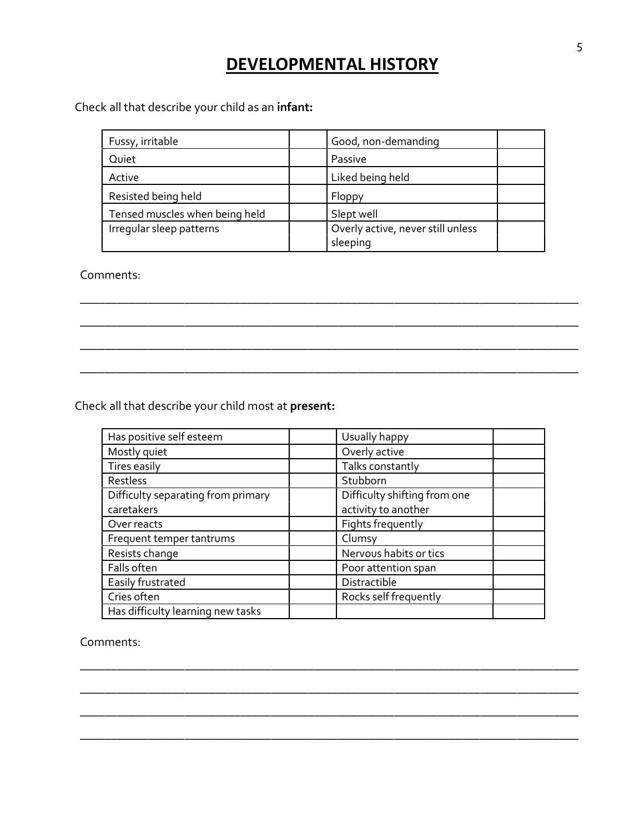### DEVELOPMENTAL HISTORY

Check all that describe your child as an infant:

| Fussy, irritable               | Good, non-demanding               |
|--------------------------------|-----------------------------------|
| Quiet<br>Passive               |                                   |
| Active                         | Liked being held                  |
| Resisted being held            | Floppy                            |
| Tensed muscles when being held | Slept well                        |
| Irreqular sleep patterns       | Overly active, never still unless |
|                                | sleeping                          |

\_\_\_\_\_\_\_\_\_\_\_\_\_\_\_\_\_\_\_\_\_\_\_\_\_\_\_\_\_\_\_\_\_\_\_\_\_\_\_\_\_\_\_\_\_\_\_\_\_\_\_\_\_\_\_\_\_\_\_\_\_\_\_\_\_\_\_\_\_\_\_\_\_\_\_\_\_\_\_\_\_

\_\_\_\_\_\_\_\_\_\_\_\_\_\_\_\_\_\_\_\_\_\_\_\_\_\_\_\_\_\_\_\_\_\_\_\_\_\_\_\_\_\_\_\_\_\_\_\_\_\_\_\_\_\_\_\_\_\_\_\_\_\_\_\_\_\_\_\_\_\_\_\_\_\_\_\_\_\_\_\_\_

\_\_\_\_\_\_\_\_\_\_\_\_\_\_\_\_\_\_\_\_\_\_\_\_\_\_\_\_\_\_\_\_\_\_\_\_\_\_\_\_\_\_\_\_\_\_\_\_\_\_\_\_\_\_\_\_\_\_\_\_\_\_\_\_\_\_\_\_\_\_\_\_\_\_\_\_\_\_\_\_\_

\_\_\_\_\_\_\_\_\_\_\_\_\_\_\_\_\_\_\_\_\_\_\_\_\_\_\_\_\_\_\_\_\_\_\_\_\_\_\_\_\_\_\_\_\_\_\_\_\_\_\_\_\_\_\_\_\_\_\_\_\_\_\_\_\_\_\_\_\_\_\_\_\_\_\_\_\_\_\_\_\_

Comments:

Check all that describe your child most at present:

| Has positive self esteem           | Usually happy                |
|------------------------------------|------------------------------|
| Mostly quiet                       | Overly active                |
| Tires easily                       | Talks constantly             |
| Restless                           | Stubborn                     |
| Difficulty separating from primary | Difficulty shifting from one |
| caretakers                         | activity to another          |
| Over reacts                        | Fights frequently            |
| Frequent temper tantrums           | Clumsy                       |
| Resists change                     | Nervous habits or tics       |
| Falls often                        | Poor attention span          |
| Easily frustrated                  | Distractible                 |
| Cries often                        | Rocks self frequently        |
| Has difficulty learning new tasks  |                              |

\_\_\_\_\_\_\_\_\_\_\_\_\_\_\_\_\_\_\_\_\_\_\_\_\_\_\_\_\_\_\_\_\_\_\_\_\_\_\_\_\_\_\_\_\_\_\_\_\_\_\_\_\_\_\_\_\_\_\_\_\_\_\_\_\_\_\_\_\_\_\_\_\_\_\_\_\_\_\_\_\_

\_\_\_\_\_\_\_\_\_\_\_\_\_\_\_\_\_\_\_\_\_\_\_\_\_\_\_\_\_\_\_\_\_\_\_\_\_\_\_\_\_\_\_\_\_\_\_\_\_\_\_\_\_\_\_\_\_\_\_\_\_\_\_\_\_\_\_\_\_\_\_\_\_\_\_\_\_\_\_\_\_

\_\_\_\_\_\_\_\_\_\_\_\_\_\_\_\_\_\_\_\_\_\_\_\_\_\_\_\_\_\_\_\_\_\_\_\_\_\_\_\_\_\_\_\_\_\_\_\_\_\_\_\_\_\_\_\_\_\_\_\_\_\_\_\_\_\_\_\_\_\_\_\_\_\_\_\_\_\_\_\_\_

\_\_\_\_\_\_\_\_\_\_\_\_\_\_\_\_\_\_\_\_\_\_\_\_\_\_\_\_\_\_\_\_\_\_\_\_\_\_\_\_\_\_\_\_\_\_\_\_\_\_\_\_\_\_\_\_\_\_\_\_\_\_\_\_\_\_\_\_\_\_\_\_\_\_\_\_\_\_\_\_\_

Comments: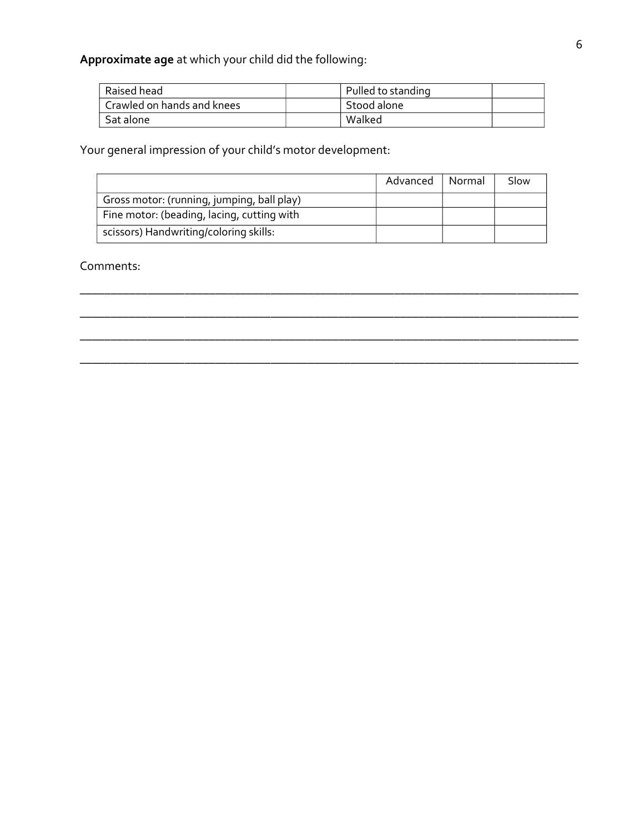Approximate age at which your child did the following:

| Raised head                | Pulled to standing |  |
|----------------------------|--------------------|--|
| Crawled on hands and knees | Stood alone        |  |
| Sat alone                  | Walked             |  |

Your general impression of your child's motor development:

|                                            | Advanced | Normal | Slow |
|--------------------------------------------|----------|--------|------|
| Gross motor: (running, jumping, ball play) |          |        |      |
| Fine motor: (beading, lacing, cutting with |          |        |      |
| scissors) Handwriting/coloring skills:     |          |        |      |

\_\_\_\_\_\_\_\_\_\_\_\_\_\_\_\_\_\_\_\_\_\_\_\_\_\_\_\_\_\_\_\_\_\_\_\_\_\_\_\_\_\_\_\_\_\_\_\_\_\_\_\_\_\_\_\_\_\_\_\_\_\_\_\_\_\_\_\_\_\_\_\_\_\_\_\_\_\_\_\_\_

\_\_\_\_\_\_\_\_\_\_\_\_\_\_\_\_\_\_\_\_\_\_\_\_\_\_\_\_\_\_\_\_\_\_\_\_\_\_\_\_\_\_\_\_\_\_\_\_\_\_\_\_\_\_\_\_\_\_\_\_\_\_\_\_\_\_\_\_\_\_\_\_\_\_\_\_\_\_\_\_\_

Comments: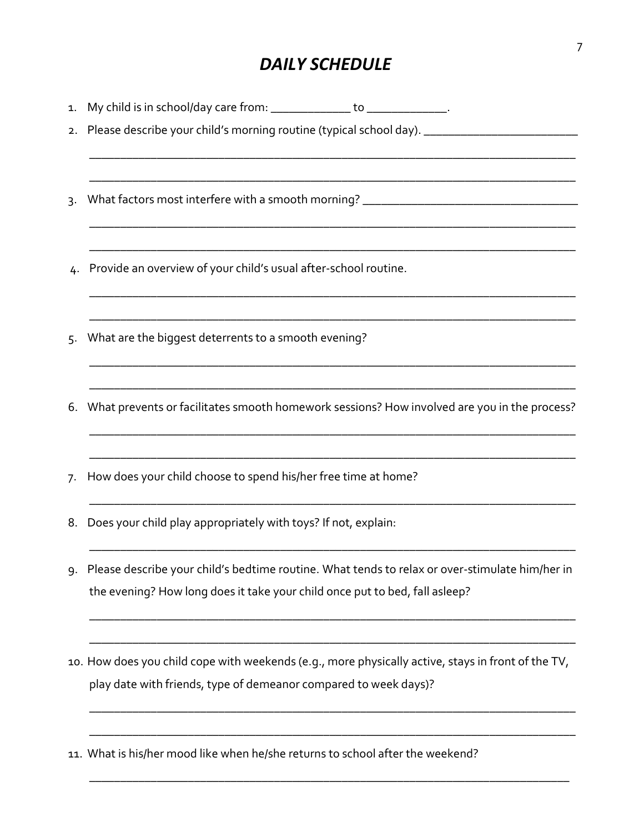### DAILY SCHEDULE

| 1. | My child is in school/day care from: _______________ to ______________.                                                                                                       |
|----|-------------------------------------------------------------------------------------------------------------------------------------------------------------------------------|
|    | 2. Please describe your child's morning routine (typical school day). _____________________________                                                                           |
| 3. | What factors most interfere with a smooth morning? ______________________________                                                                                             |
| 4. | Provide an overview of your child's usual after-school routine.                                                                                                               |
| 5. | What are the biggest deterrents to a smooth evening?                                                                                                                          |
| 6. | What prevents or facilitates smooth homework sessions? How involved are you in the process?                                                                                   |
| 7. | How does your child choose to spend his/her free time at home?                                                                                                                |
| 8. | Does your child play appropriately with toys? If not, explain:                                                                                                                |
| 9. | Please describe your child's bedtime routine. What tends to relax or over-stimulate him/her in<br>the evening? How long does it take your child once put to bed, fall asleep? |
|    | 10. How does you child cope with weekends (e.g., more physically active, stays in front of the TV,<br>play date with friends, type of demeanor compared to week days)?        |

11. What is his/her mood like when he/she returns to school after the weekend?

\_\_\_\_\_\_\_\_\_\_\_\_\_\_\_\_\_\_\_\_\_\_\_\_\_\_\_\_\_\_\_\_\_\_\_\_\_\_\_\_\_\_\_\_\_\_\_\_\_\_\_\_\_\_\_\_\_\_\_\_\_\_\_\_\_\_\_\_\_\_\_\_\_\_\_\_\_\_\_

\_\_\_\_\_\_\_\_\_\_\_\_\_\_\_\_\_\_\_\_\_\_\_\_\_\_\_\_\_\_\_\_\_\_\_\_\_\_\_\_\_\_\_\_\_\_\_\_\_\_\_\_\_\_\_\_\_\_\_\_\_\_\_\_\_\_\_\_\_\_\_\_\_\_\_\_\_\_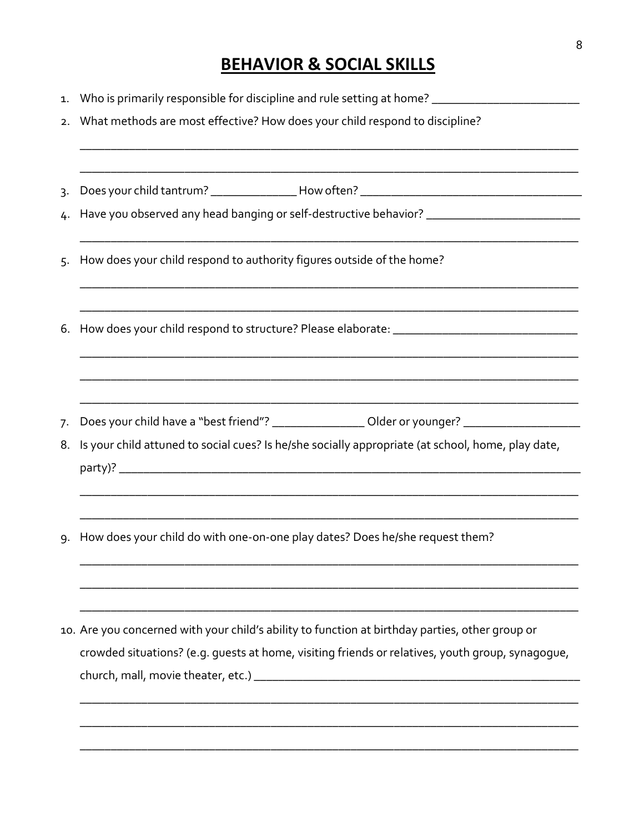## **BEHAVIOR & SOCIAL SKILLS**

| 1.               | Who is primarily responsible for discipline and rule setting at home? ______________________________                                                                                                     |  |  |
|------------------|----------------------------------------------------------------------------------------------------------------------------------------------------------------------------------------------------------|--|--|
| 2.               | What methods are most effective? How does your child respond to discipline?                                                                                                                              |  |  |
|                  |                                                                                                                                                                                                          |  |  |
| $\overline{3}$ . |                                                                                                                                                                                                          |  |  |
| 4.               | Have you observed any head banging or self-destructive behavior? ___________________________________                                                                                                     |  |  |
| 5.               | How does your child respond to authority figures outside of the home?                                                                                                                                    |  |  |
|                  |                                                                                                                                                                                                          |  |  |
| 7.<br>8.         | Does your child have a "best friend"? _________________ Older or younger? _________________________<br>Is your child attuned to social cues? Is he/she socially appropriate (at school, home, play date, |  |  |
|                  |                                                                                                                                                                                                          |  |  |
| 9.               | How does your child do with one-on-one play dates? Does he/she request them?                                                                                                                             |  |  |
|                  | 10. Are you concerned with your child's ability to function at birthday parties, other group or                                                                                                          |  |  |
|                  | crowded situations? (e.g. guests at home, visiting friends or relatives, youth group, synagogue,                                                                                                         |  |  |
|                  |                                                                                                                                                                                                          |  |  |
|                  |                                                                                                                                                                                                          |  |  |
|                  |                                                                                                                                                                                                          |  |  |